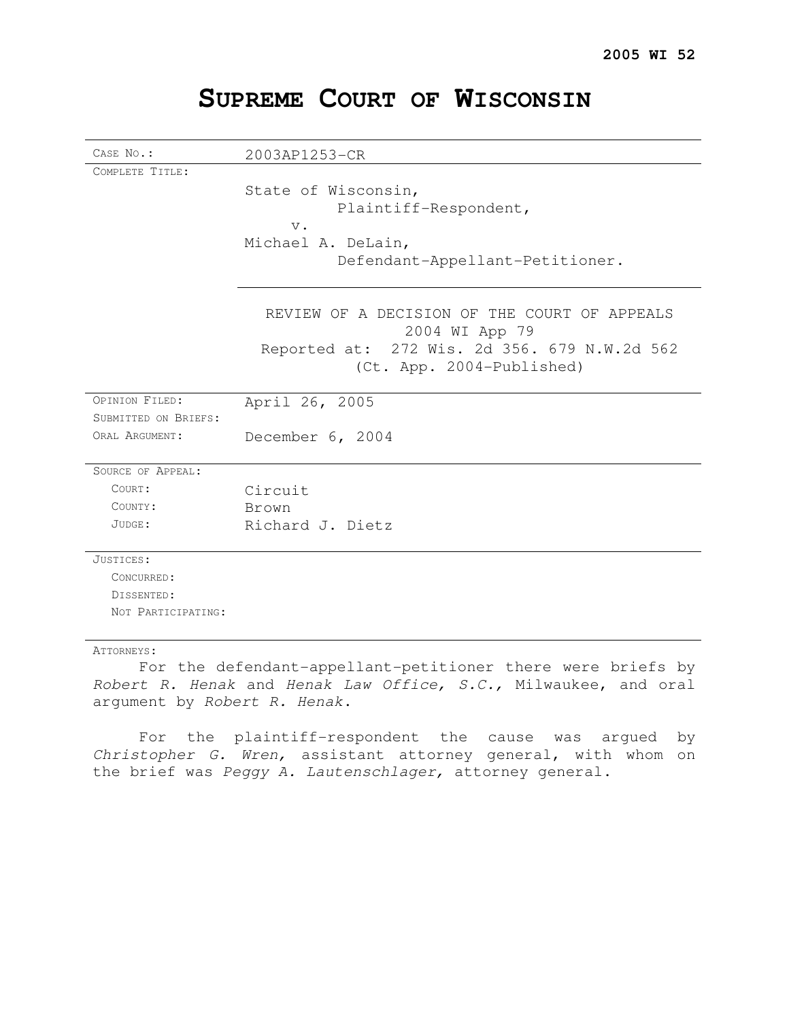| CASE No.:            | 2003AP1253-CR                                |
|----------------------|----------------------------------------------|
| COMPLETE TITLE:      |                                              |
|                      | State of Wisconsin,                          |
|                      | Plaintiff-Respondent,                        |
|                      |                                              |
|                      | $V$ .                                        |
|                      | Michael A. DeLain,                           |
|                      | Defendant-Appellant-Petitioner.              |
|                      |                                              |
|                      | REVIEW OF A DECISION OF THE COURT OF APPEALS |
|                      | 2004 WI App 79                               |
|                      | Reported at: 272 Wis. 2d 356. 679 N.W.2d 562 |
|                      | (Ct. App. 2004-Published)                    |
|                      |                                              |
| OPINION FILED:       | April 26, 2005                               |
| SUBMITTED ON BRIEFS: |                                              |
| ORAL ARGUMENT:       | December 6, 2004                             |
|                      |                                              |
| SOURCE OF APPEAL:    |                                              |
| COURT:               | Circuit                                      |
| COUNTY:              | Brown                                        |
| JUDGE:               | Richard J. Dietz                             |
|                      |                                              |
| JUSTICES:            |                                              |
| CONCURRED:           |                                              |
| DISSENTED:           |                                              |
| NOT PARTICIPATING:   |                                              |
|                      |                                              |

# **SUPREME COURT OF WISCONSIN**

#### ATTORNEYS:

For the defendant-appellant-petitioner there were briefs by Robert R. Henak and Henak Law Office, S.C., Milwaukee, and oral argument by Robert R. Henak.

For the plaintiff-respondent the cause was argued by Christopher G. Wren, assistant attorney general, with whom on the brief was Peggy A. Lautenschlager, attorney general.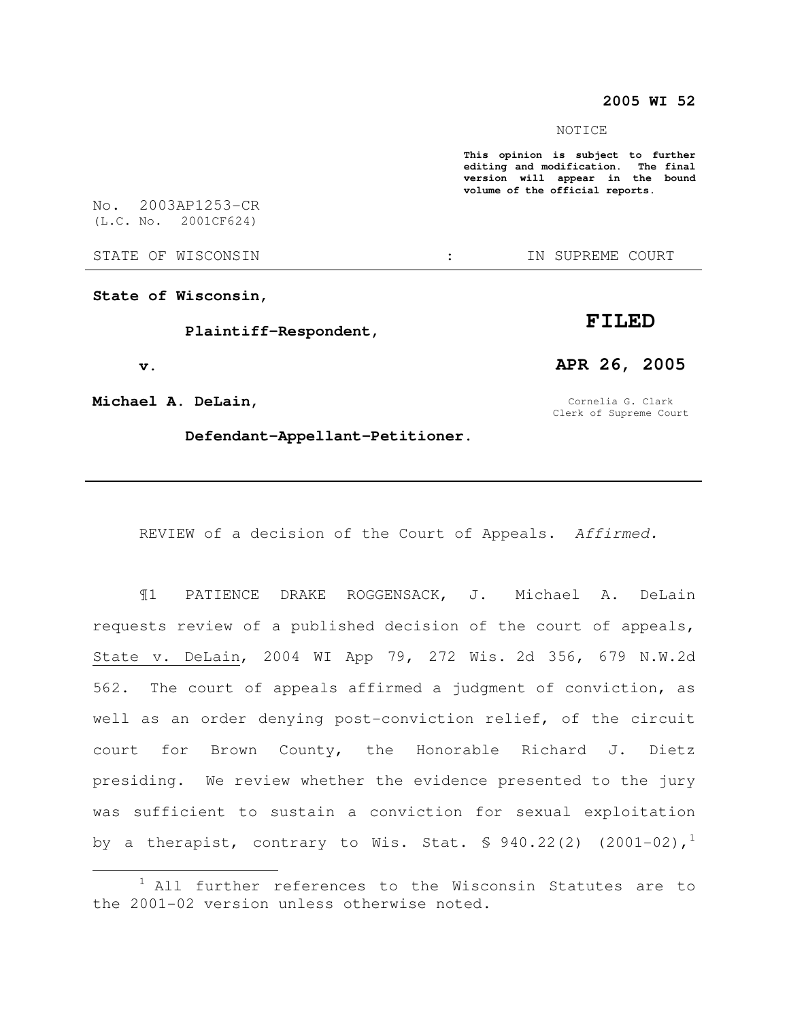### **2005 WI 52**

#### NOTICE

**This opinion is subject to further editing and modification. The final version will appear in the bound volume of the official reports.** 

No. 2003AP1253-CR (L.C. No. 2001CF624)

STATE OF WISCONSIN THE STATE OF WISCONSIN THE STATE OF STATE OF STATE OF STATE OF STATE OF STATE OF STATE OF STATE OF STATE OF STATE OF STATE OF STATE OF STATE OF STATE OF STATE OF STATE OF STATE OF STATE OF STATE OF STATE

**State of Wisconsin,** 

 **Plaintiff-Respondent,** 

 **v.** 

 $\overline{a}$ 

**Michael A. DeLain,** 

 **Defendant-Appellant-Petitioner.** 

Cornelia G. Clark Clerk of Supreme Court

**APR 26, 2005** 

REVIEW of a decision of the Court of Appeals. Affirmed.

¶1 PATIENCE DRAKE ROGGENSACK, J. Michael A. DeLain requests review of a published decision of the court of appeals, State v. DeLain, 2004 WI App 79, 272 Wis. 2d 356, 679 N.W.2d 562. The court of appeals affirmed a judgment of conviction, as well as an order denying post-conviction relief, of the circuit court for Brown County, the Honorable Richard J. Dietz presiding. We review whether the evidence presented to the jury was sufficient to sustain a conviction for sexual exploitation by a therapist, contrary to Wis. Stat.  $\text{\$ }940.22(2)$  (2001-02),<sup>1</sup>

# **FILED**

 $1$  All further references to the Wisconsin Statutes are to the 2001-02 version unless otherwise noted.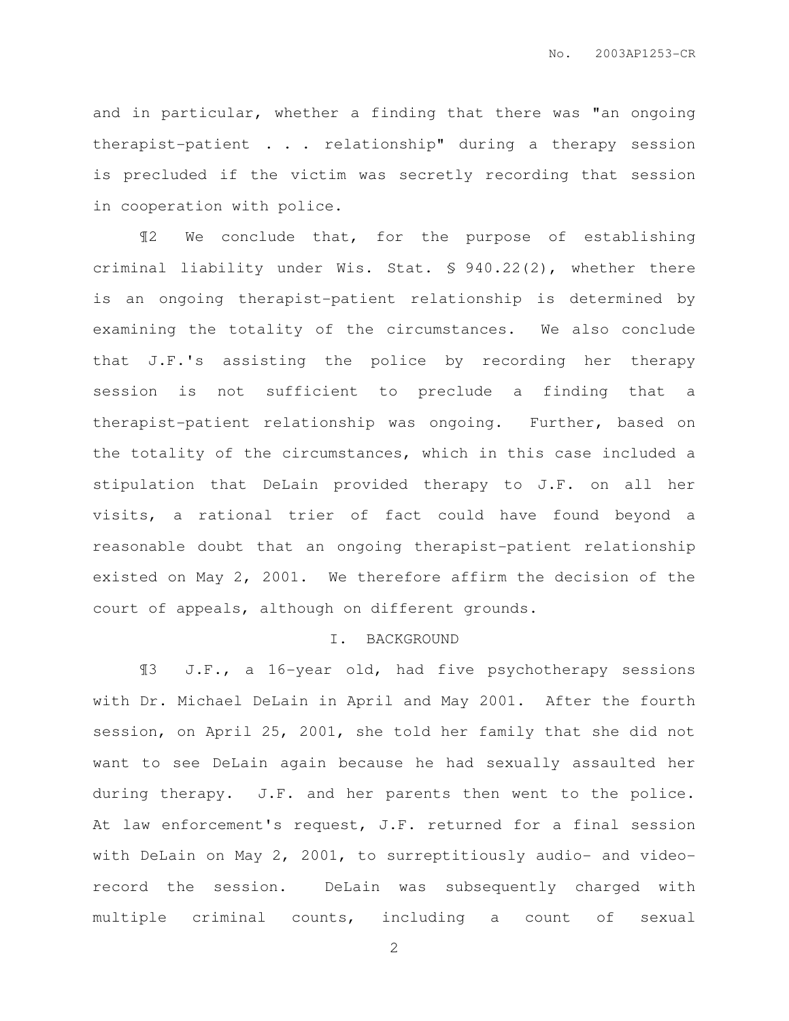and in particular, whether a finding that there was "an ongoing therapist-patient . . . relationship" during a therapy session is precluded if the victim was secretly recording that session in cooperation with police.

¶2 We conclude that, for the purpose of establishing criminal liability under Wis. Stat. § 940.22(2), whether there is an ongoing therapist-patient relationship is determined by examining the totality of the circumstances. We also conclude that J.F.'s assisting the police by recording her therapy session is not sufficient to preclude a finding that a therapist-patient relationship was ongoing. Further, based on the totality of the circumstances, which in this case included a stipulation that DeLain provided therapy to J.F. on all her visits, a rational trier of fact could have found beyond a reasonable doubt that an ongoing therapist-patient relationship existed on May 2, 2001. We therefore affirm the decision of the court of appeals, although on different grounds.

## I. BACKGROUND

¶3 J.F., a 16-year old, had five psychotherapy sessions with Dr. Michael DeLain in April and May 2001. After the fourth session, on April 25, 2001, she told her family that she did not want to see DeLain again because he had sexually assaulted her during therapy. J.F. and her parents then went to the police. At law enforcement's request, J.F. returned for a final session with DeLain on May 2, 2001, to surreptitiously audio- and videorecord the session. DeLain was subsequently charged with multiple criminal counts, including a count of sexual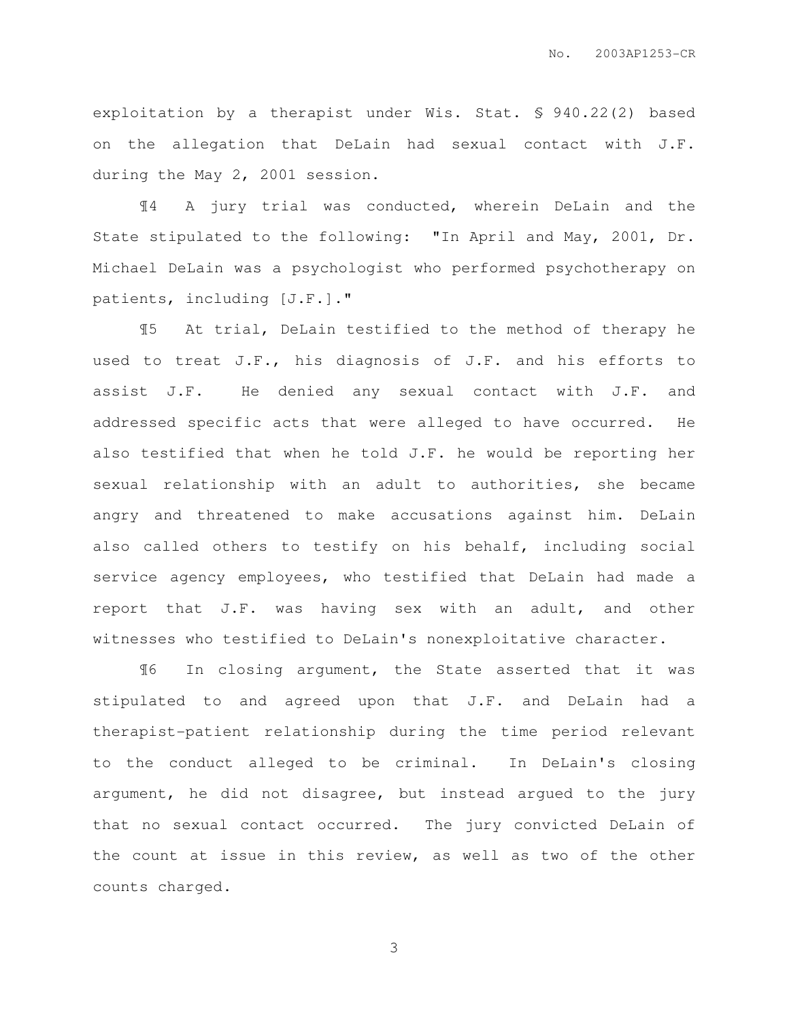exploitation by a therapist under Wis. Stat. § 940.22(2) based on the allegation that DeLain had sexual contact with J.F. during the May 2, 2001 session.

¶4 A jury trial was conducted, wherein DeLain and the State stipulated to the following: "In April and May, 2001, Dr. Michael DeLain was a psychologist who performed psychotherapy on patients, including [J.F.]."

¶5 At trial, DeLain testified to the method of therapy he used to treat J.F., his diagnosis of J.F. and his efforts to assist J.F. He denied any sexual contact with J.F. and addressed specific acts that were alleged to have occurred. He also testified that when he told J.F. he would be reporting her sexual relationship with an adult to authorities, she became angry and threatened to make accusations against him. DeLain also called others to testify on his behalf, including social service agency employees, who testified that DeLain had made a report that J.F. was having sex with an adult, and other witnesses who testified to DeLain's nonexploitative character.

¶6 In closing argument, the State asserted that it was stipulated to and agreed upon that J.F. and DeLain had a therapist-patient relationship during the time period relevant to the conduct alleged to be criminal. In DeLain's closing argument, he did not disagree, but instead argued to the jury that no sexual contact occurred. The jury convicted DeLain of the count at issue in this review, as well as two of the other counts charged.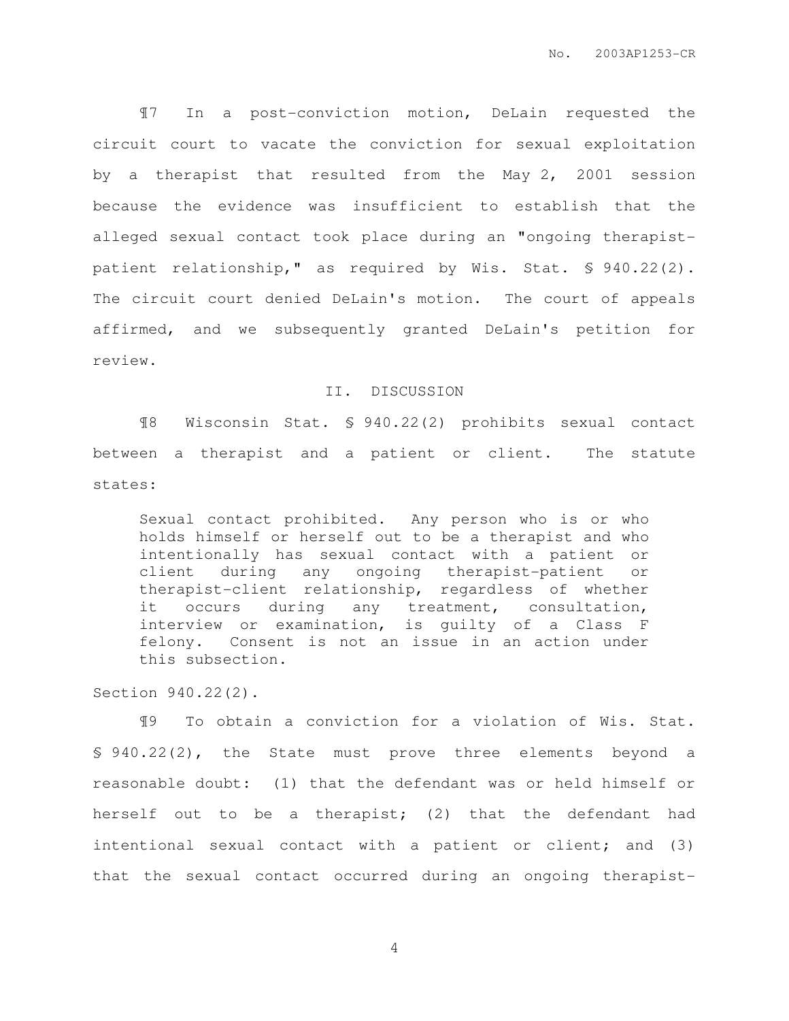¶7 In a post-conviction motion, DeLain requested the circuit court to vacate the conviction for sexual exploitation by a therapist that resulted from the May 2, 2001 session because the evidence was insufficient to establish that the alleged sexual contact took place during an "ongoing therapistpatient relationship," as required by Wis. Stat. § 940.22(2). The circuit court denied DeLain's motion. The court of appeals affirmed, and we subsequently granted DeLain's petition for review.

#### II. DISCUSSION

¶8 Wisconsin Stat. § 940.22(2) prohibits sexual contact between a therapist and a patient or client. The statute states:

Sexual contact prohibited. Any person who is or who holds himself or herself out to be a therapist and who intentionally has sexual contact with a patient or client during any ongoing therapist-patient or therapist-client relationship, regardless of whether it occurs during any treatment, consultation, interview or examination, is guilty of a Class F felony. Consent is not an issue in an action under this subsection.

Section 940.22(2).

¶9 To obtain a conviction for a violation of Wis. Stat. § 940.22(2), the State must prove three elements beyond a reasonable doubt: (1) that the defendant was or held himself or herself out to be a therapist; (2) that the defendant had intentional sexual contact with a patient or client; and (3) that the sexual contact occurred during an ongoing therapist-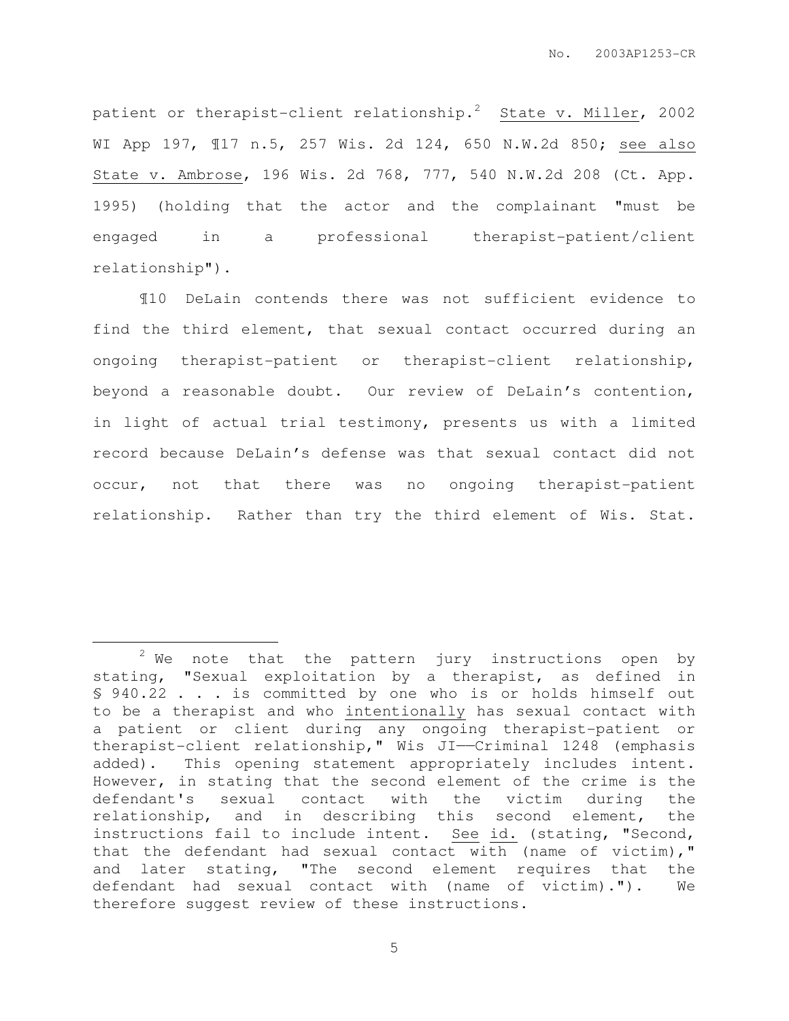patient or therapist-client relationship.<sup>2</sup> State v. Miller, 2002 WI App 197, ¶17 n.5, 257 Wis. 2d 124, 650 N.W.2d 850; see also State v. Ambrose, 196 Wis. 2d 768, 777, 540 N.W.2d 208 (Ct. App. 1995) (holding that the actor and the complainant "must be engaged in a professional therapist-patient/client relationship").

¶10 DeLain contends there was not sufficient evidence to find the third element, that sexual contact occurred during an ongoing therapist-patient or therapist-client relationship, beyond a reasonable doubt. Our review of DeLain's contention, in light of actual trial testimony, presents us with a limited record because DeLain's defense was that sexual contact did not occur, not that there was no ongoing therapist-patient relationship. Rather than try the third element of Wis. Stat.

 $\overline{a}$ 

 $2$  We note that the pattern jury instructions open by stating, "Sexual exploitation by a therapist, as defined in § 940.22 . . . is committed by one who is or holds himself out to be a therapist and who intentionally has sexual contact with a patient or client during any ongoing therapist-patient or therapist-client relationship," Wis JI——Criminal 1248 (emphasis added). This opening statement appropriately includes intent. However, in stating that the second element of the crime is the defendant's sexual contact with the victim during the relationship, and in describing this second element, the instructions fail to include intent. See id. (stating, "Second, that the defendant had sexual contact with (name of victim)," and later stating, "The second element requires that the defendant had sexual contact with (name of victim)."). We therefore suggest review of these instructions.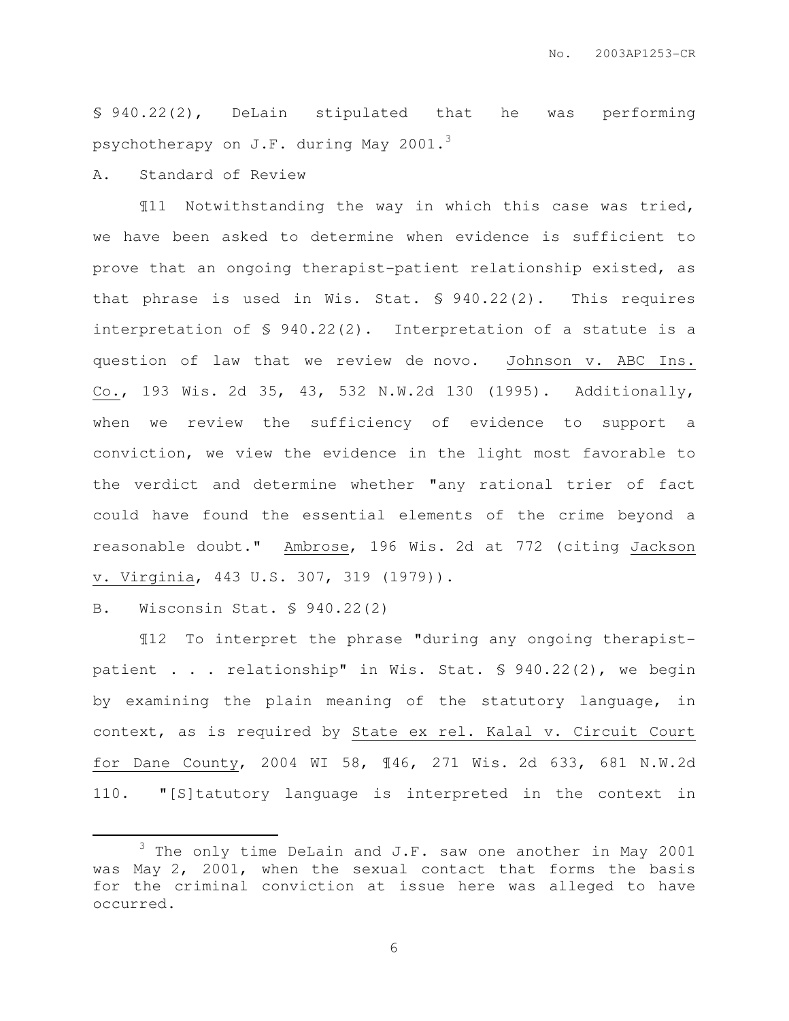§ 940.22(2), DeLain stipulated that he was performing psychotherapy on J.F. during May 2001. $3$ 

A. Standard of Review

¶11 Notwithstanding the way in which this case was tried, we have been asked to determine when evidence is sufficient to prove that an ongoing therapist-patient relationship existed, as that phrase is used in Wis. Stat. § 940.22(2). This requires interpretation of § 940.22(2). Interpretation of a statute is a question of law that we review de novo. Johnson v. ABC Ins. Co., 193 Wis. 2d 35, 43, 532 N.W.2d 130 (1995). Additionally, when we review the sufficiency of evidence to support a conviction, we view the evidence in the light most favorable to the verdict and determine whether "any rational trier of fact could have found the essential elements of the crime beyond a reasonable doubt." Ambrose, 196 Wis. 2d at 772 (citing Jackson v. Virginia, 443 U.S. 307, 319 (1979)).

B. Wisconsin Stat. § 940.22(2)

 $\overline{a}$ 

¶12 To interpret the phrase "during any ongoing therapistpatient . . . relationship" in Wis. Stat. § 940.22(2), we begin by examining the plain meaning of the statutory language, in context, as is required by State ex rel. Kalal v. Circuit Court for Dane County, 2004 WI 58, ¶46, 271 Wis. 2d 633, 681 N.W.2d 110. "[S]tatutory language is interpreted in the context in

<sup>&</sup>lt;sup>3</sup> The only time DeLain and J.F. saw one another in May 2001 was May 2, 2001, when the sexual contact that forms the basis for the criminal conviction at issue here was alleged to have occurred.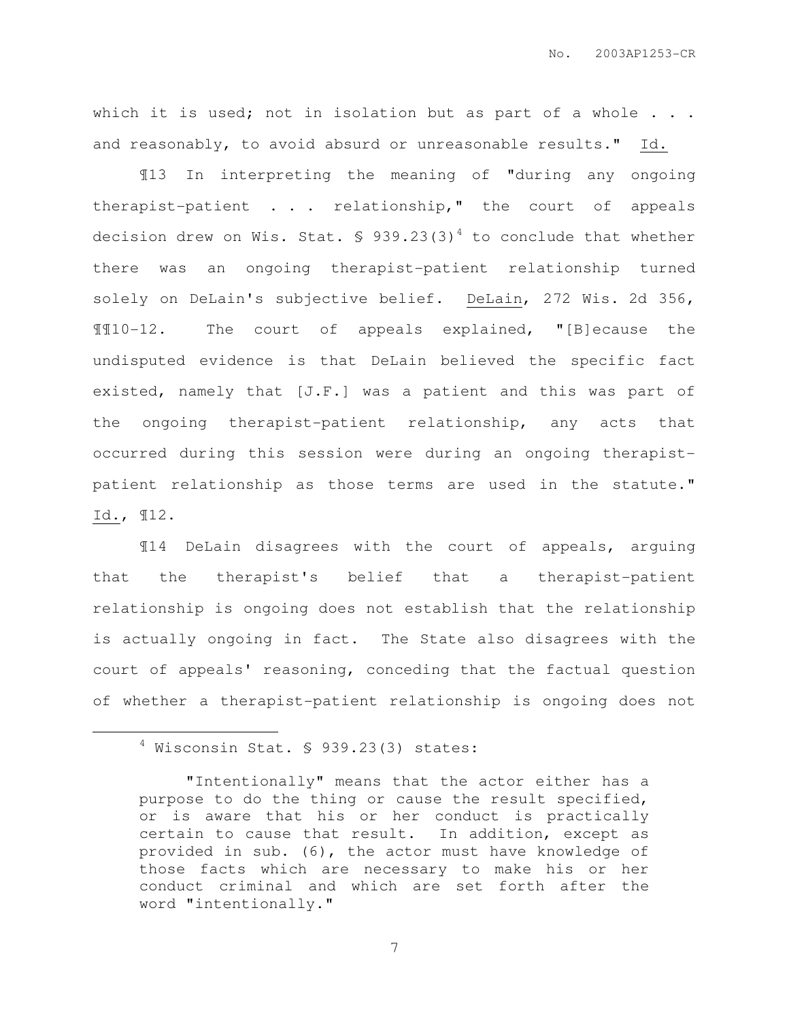which it is used; not in isolation but as part of a whole . . . and reasonably, to avoid absurd or unreasonable results." Id.

¶13 In interpreting the meaning of "during any ongoing therapist-patient . . . relationship," the court of appeals decision drew on Wis. Stat.  $\frac{1}{2}$  939.23(3)<sup>4</sup> to conclude that whether there was an ongoing therapist-patient relationship turned solely on DeLain's subjective belief. DeLain, 272 Wis. 2d 356, ¶¶10-12. The court of appeals explained, "[B]ecause the undisputed evidence is that DeLain believed the specific fact existed, namely that [J.F.] was a patient and this was part of the ongoing therapist-patient relationship, any acts that occurred during this session were during an ongoing therapistpatient relationship as those terms are used in the statute." Id., ¶12.

¶14 DeLain disagrees with the court of appeals, arguing that the therapist's belief that a therapist-patient relationship is ongoing does not establish that the relationship is actually ongoing in fact. The State also disagrees with the court of appeals' reasoning, conceding that the factual question of whether a therapist-patient relationship is ongoing does not

 $\overline{a}$ 

<sup>4</sup> Wisconsin Stat. § 939.23(3) states:

<sup>&</sup>quot;Intentionally" means that the actor either has a purpose to do the thing or cause the result specified, or is aware that his or her conduct is practically certain to cause that result. In addition, except as provided in sub. (6), the actor must have knowledge of those facts which are necessary to make his or her conduct criminal and which are set forth after the word "intentionally."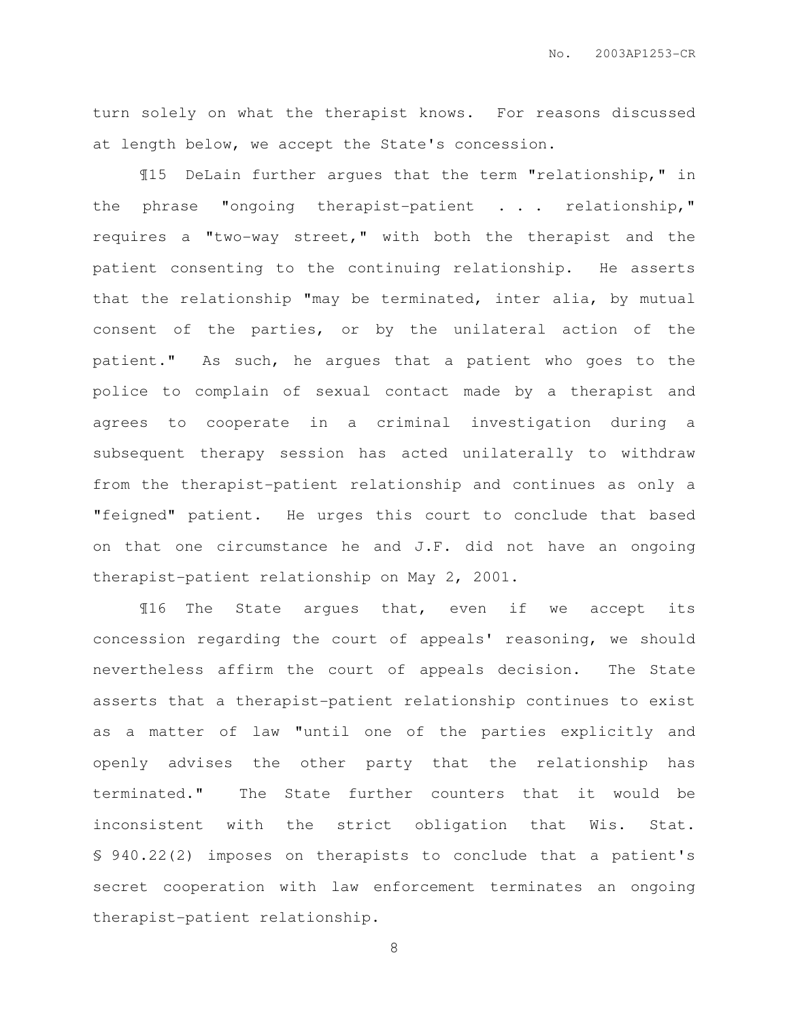turn solely on what the therapist knows. For reasons discussed at length below, we accept the State's concession.

¶15 DeLain further argues that the term "relationship," in the phrase "ongoing therapist-patient . . . relationship," requires a "two-way street," with both the therapist and the patient consenting to the continuing relationship. He asserts that the relationship "may be terminated, inter alia, by mutual consent of the parties, or by the unilateral action of the patient." As such, he argues that a patient who goes to the police to complain of sexual contact made by a therapist and agrees to cooperate in a criminal investigation during a subsequent therapy session has acted unilaterally to withdraw from the therapist-patient relationship and continues as only a "feigned" patient. He urges this court to conclude that based on that one circumstance he and J.F. did not have an ongoing therapist-patient relationship on May 2, 2001.

¶16 The State argues that, even if we accept its concession regarding the court of appeals' reasoning, we should nevertheless affirm the court of appeals decision. The State asserts that a therapist-patient relationship continues to exist as a matter of law "until one of the parties explicitly and openly advises the other party that the relationship has terminated." The State further counters that it would be inconsistent with the strict obligation that Wis. Stat. § 940.22(2) imposes on therapists to conclude that a patient's secret cooperation with law enforcement terminates an ongoing therapist-patient relationship.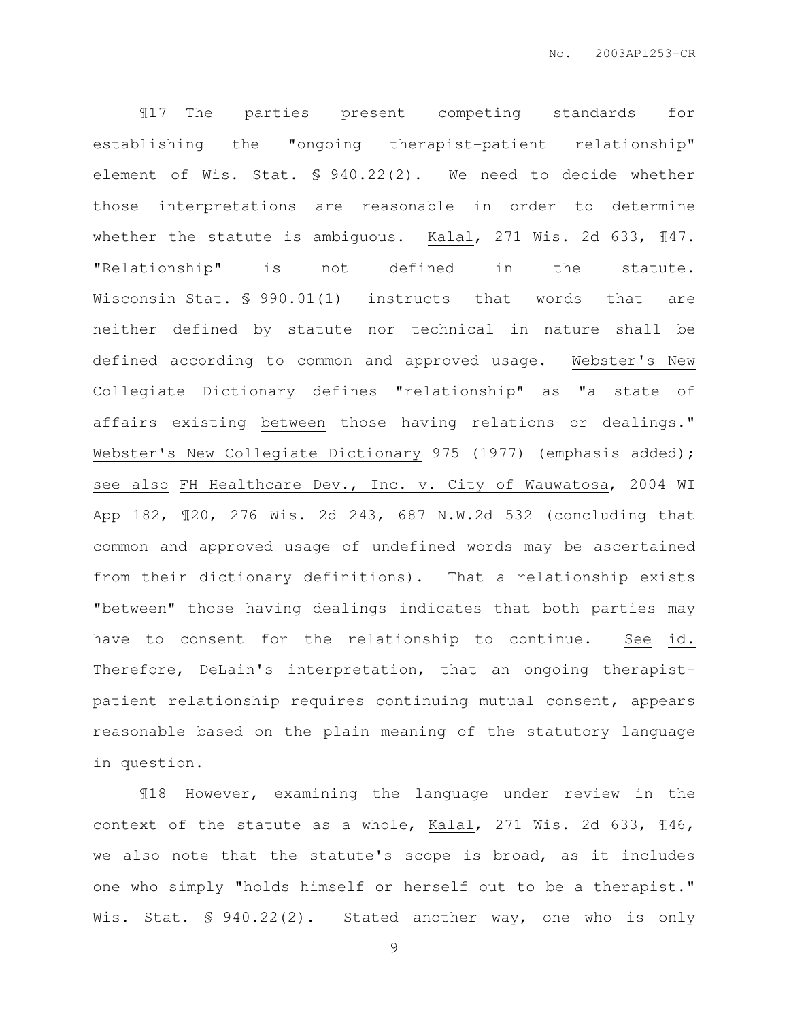¶17 The parties present competing standards for establishing the "ongoing therapist-patient relationship" element of Wis. Stat. § 940.22(2). We need to decide whether those interpretations are reasonable in order to determine whether the statute is ambiguous. Kalal, 271 Wis. 2d 633, 147. "Relationship" is not defined in the statute. Wisconsin Stat. § 990.01(1) instructs that words that are neither defined by statute nor technical in nature shall be defined according to common and approved usage. Webster's New Collegiate Dictionary defines "relationship" as "a state of affairs existing between those having relations or dealings." Webster's New Collegiate Dictionary 975 (1977) (emphasis added); see also FH Healthcare Dev., Inc. v. City of Wauwatosa, 2004 WI App 182, ¶20, 276 Wis. 2d 243, 687 N.W.2d 532 (concluding that common and approved usage of undefined words may be ascertained from their dictionary definitions). That a relationship exists "between" those having dealings indicates that both parties may have to consent for the relationship to continue. See id. Therefore, DeLain's interpretation, that an ongoing therapistpatient relationship requires continuing mutual consent, appears reasonable based on the plain meaning of the statutory language in question.

¶18 However, examining the language under review in the context of the statute as a whole, Kalal, 271 Wis. 2d 633, ¶46, we also note that the statute's scope is broad, as it includes one who simply "holds himself or herself out to be a therapist." Wis. Stat. § 940.22(2). Stated another way, one who is only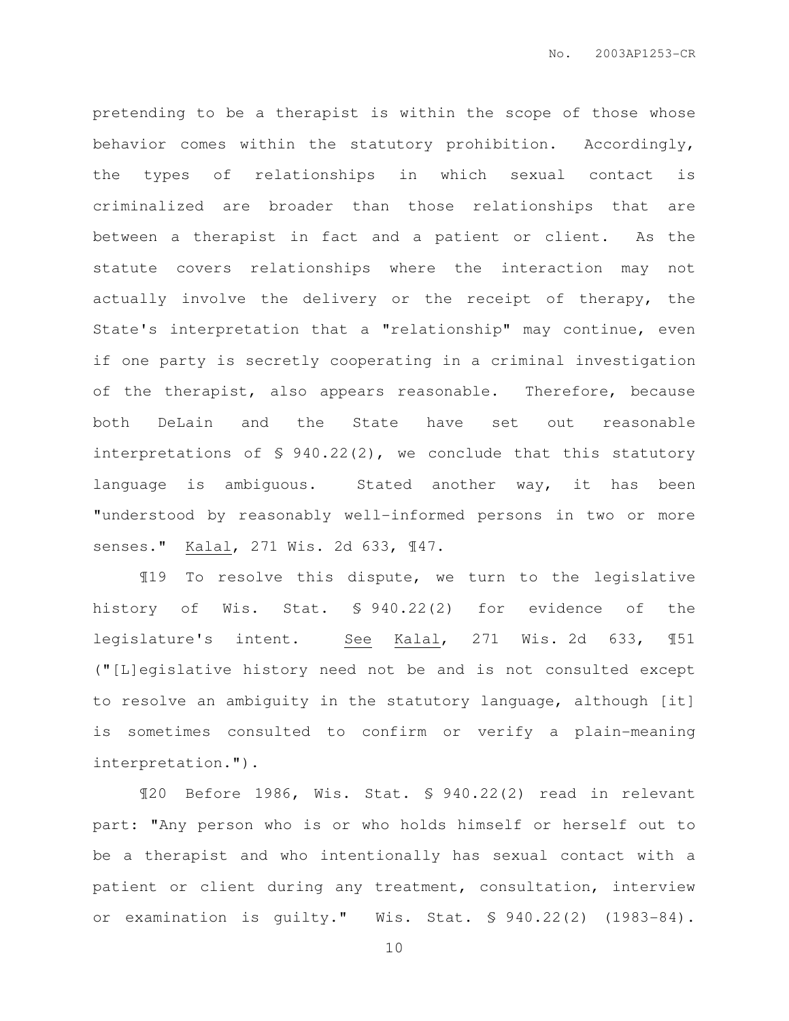pretending to be a therapist is within the scope of those whose behavior comes within the statutory prohibition. Accordingly, the types of relationships in which sexual contact is criminalized are broader than those relationships that are between a therapist in fact and a patient or client. As the statute covers relationships where the interaction may not actually involve the delivery or the receipt of therapy, the State's interpretation that a "relationship" may continue, even if one party is secretly cooperating in a criminal investigation of the therapist, also appears reasonable. Therefore, because both DeLain and the State have set out reasonable interpretations of § 940.22(2), we conclude that this statutory language is ambiguous. Stated another way, it has been "understood by reasonably well-informed persons in two or more senses." Kalal, 271 Wis. 2d 633, ¶47.

¶19 To resolve this dispute, we turn to the legislative history of Wis. Stat. § 940.22(2) for evidence of the legislature's intent. See Kalal, 271 Wis. 2d 633, ¶51 ("[L]egislative history need not be and is not consulted except to resolve an ambiguity in the statutory language, although [it] is sometimes consulted to confirm or verify a plain-meaning interpretation.").

¶20 Before 1986, Wis. Stat. § 940.22(2) read in relevant part: "Any person who is or who holds himself or herself out to be a therapist and who intentionally has sexual contact with a patient or client during any treatment, consultation, interview or examination is guilty." Wis. Stat. § 940.22(2) (1983-84).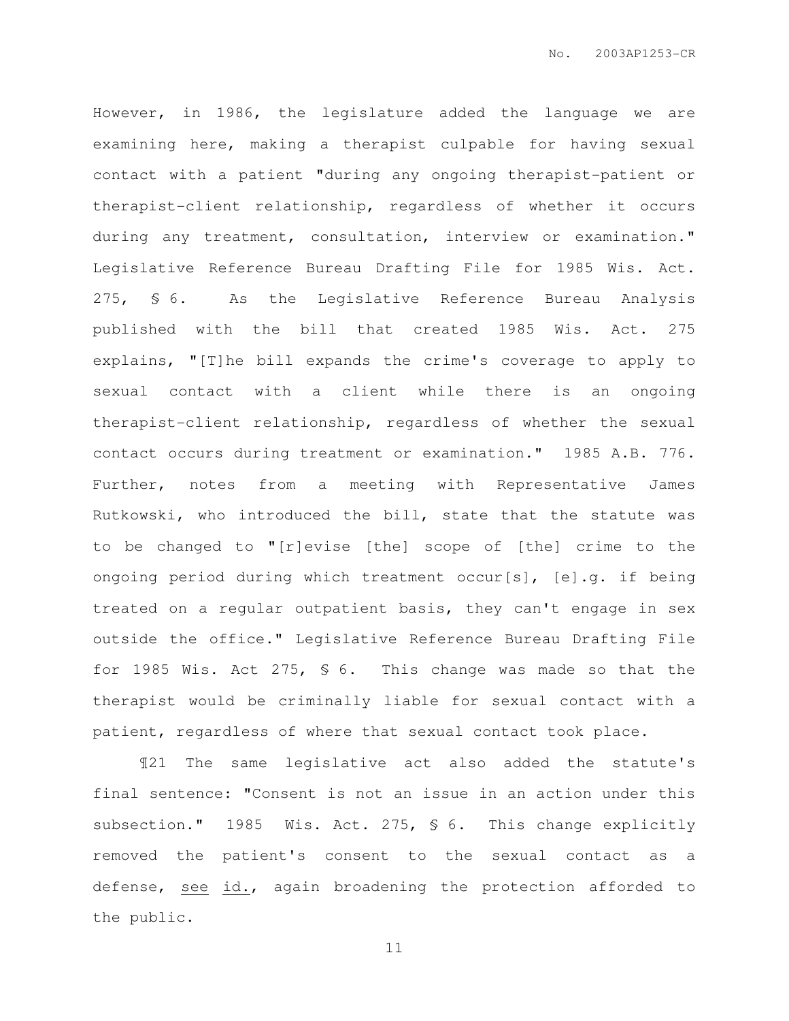However, in 1986, the legislature added the language we are examining here, making a therapist culpable for having sexual contact with a patient "during any ongoing therapist-patient or therapist-client relationship, regardless of whether it occurs during any treatment, consultation, interview or examination." Legislative Reference Bureau Drafting File for 1985 Wis. Act. 275, § 6. As the Legislative Reference Bureau Analysis published with the bill that created 1985 Wis. Act. 275 explains, "[T]he bill expands the crime's coverage to apply to sexual contact with a client while there is an ongoing therapist-client relationship, regardless of whether the sexual contact occurs during treatment or examination." 1985 A.B. 776. Further, notes from a meeting with Representative James Rutkowski, who introduced the bill, state that the statute was to be changed to "[r]evise [the] scope of [the] crime to the ongoing period during which treatment occur[s], [e].g. if being treated on a regular outpatient basis, they can't engage in sex outside the office." Legislative Reference Bureau Drafting File for 1985 Wis. Act 275, § 6. This change was made so that the therapist would be criminally liable for sexual contact with a patient, regardless of where that sexual contact took place.

¶21 The same legislative act also added the statute's final sentence: "Consent is not an issue in an action under this subsection." 1985 Wis. Act. 275, § 6. This change explicitly removed the patient's consent to the sexual contact as a defense, see id., again broadening the protection afforded to the public.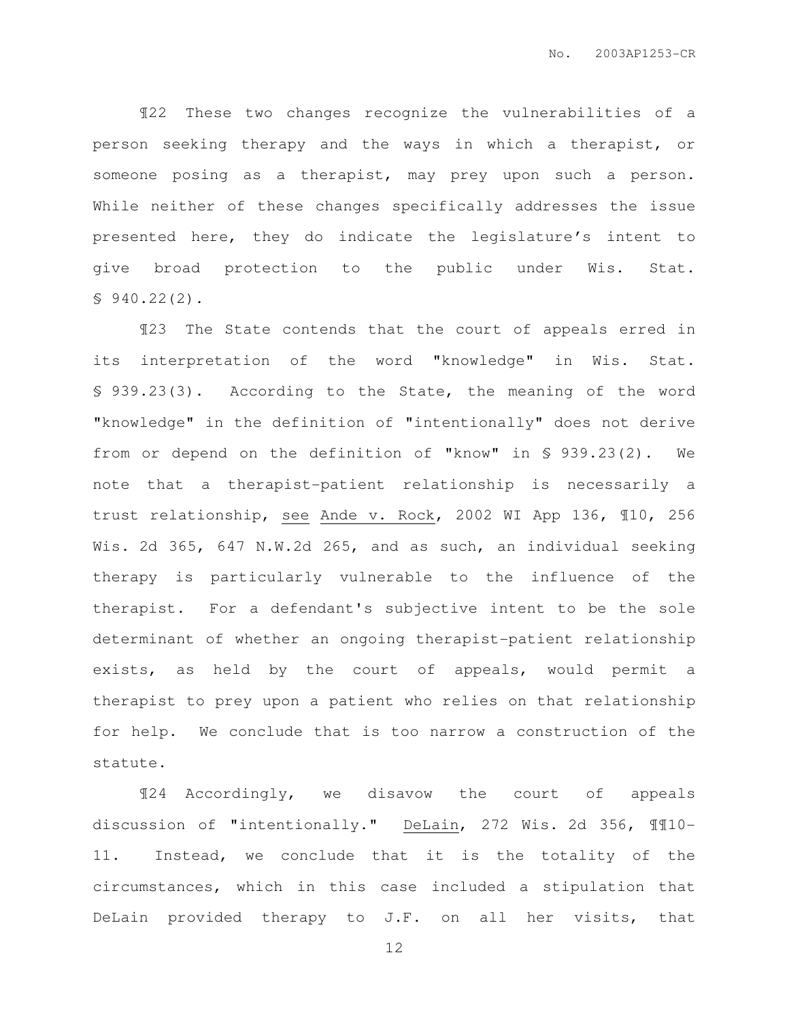¶22 These two changes recognize the vulnerabilities of a person seeking therapy and the ways in which a therapist, or someone posing as a therapist, may prey upon such a person. While neither of these changes specifically addresses the issue presented here, they do indicate the legislature's intent to give broad protection to the public under Wis. Stat. § 940.22(2).

¶23 The State contends that the court of appeals erred in its interpretation of the word "knowledge" in Wis. Stat. § 939.23(3). According to the State, the meaning of the word "knowledge" in the definition of "intentionally" does not derive from or depend on the definition of "know" in § 939.23(2). We note that a therapist-patient relationship is necessarily a trust relationship, see Ande v. Rock, 2002 WI App 136, ¶10, 256 Wis. 2d 365, 647 N.W.2d 265, and as such, an individual seeking therapy is particularly vulnerable to the influence of the therapist. For a defendant's subjective intent to be the sole determinant of whether an ongoing therapist-patient relationship exists, as held by the court of appeals, would permit a therapist to prey upon a patient who relies on that relationship for help. We conclude that is too narrow a construction of the statute.

¶24 Accordingly, we disavow the court of appeals discussion of "intentionally." DeLain, 272 Wis. 2d 356, ¶¶10- 11. Instead, we conclude that it is the totality of the circumstances, which in this case included a stipulation that DeLain provided therapy to J.F. on all her visits, that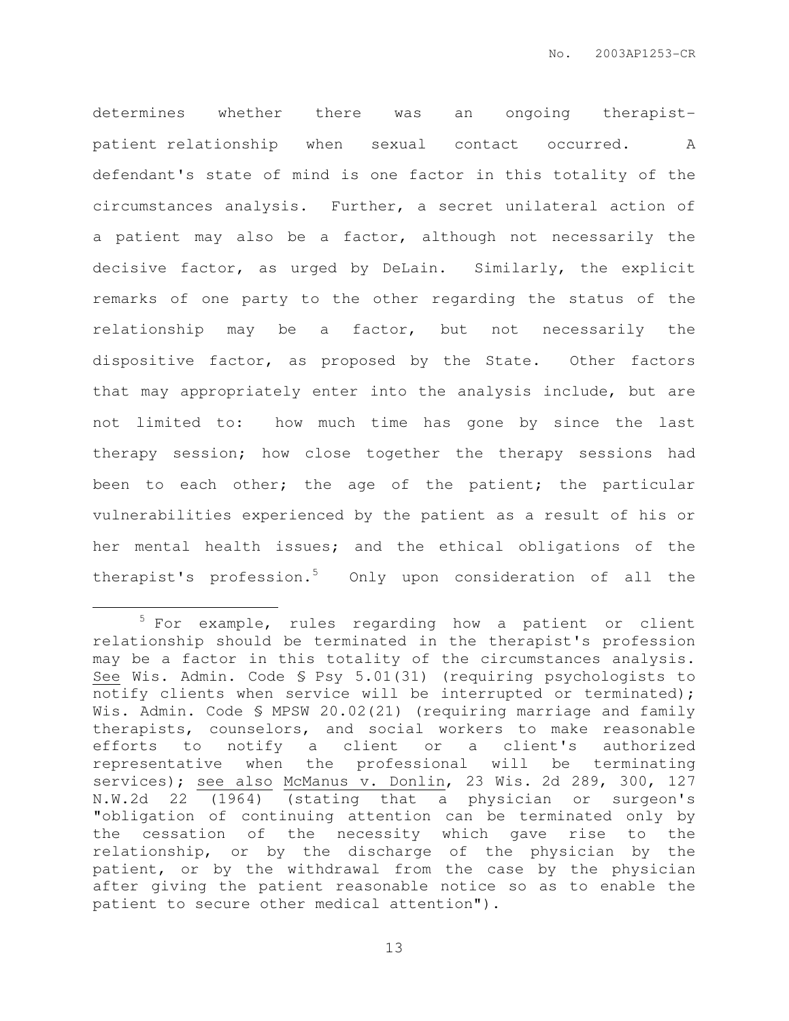determines whether there was an ongoing therapistpatient relationship when sexual contact occurred. A defendant's state of mind is one factor in this totality of the circumstances analysis. Further, a secret unilateral action of a patient may also be a factor, although not necessarily the decisive factor, as urged by DeLain. Similarly, the explicit remarks of one party to the other regarding the status of the relationship may be a factor, but not necessarily the dispositive factor, as proposed by the State. Other factors that may appropriately enter into the analysis include, but are not limited to: how much time has gone by since the last therapy session; how close together the therapy sessions had been to each other; the age of the patient; the particular vulnerabilities experienced by the patient as a result of his or her mental health issues; and the ethical obligations of the therapist's profession.<sup>5</sup> Only upon consideration of all the

 $\overline{a}$ 

<sup>5</sup> For example, rules regarding how a patient or client relationship should be terminated in the therapist's profession may be a factor in this totality of the circumstances analysis. See Wis. Admin. Code § Psy 5.01(31) (requiring psychologists to notify clients when service will be interrupted or terminated); Wis. Admin. Code § MPSW 20.02(21) (requiring marriage and family therapists, counselors, and social workers to make reasonable efforts to notify a client or a client's authorized representative when the professional will be terminating services); see also McManus v. Donlin, 23 Wis. 2d 289, 300, 127 N.W.2d 22 (1964) (stating that a physician or surgeon's "obligation of continuing attention can be terminated only by the cessation of the necessity which gave rise to the relationship, or by the discharge of the physician by the patient, or by the withdrawal from the case by the physician after giving the patient reasonable notice so as to enable the patient to secure other medical attention").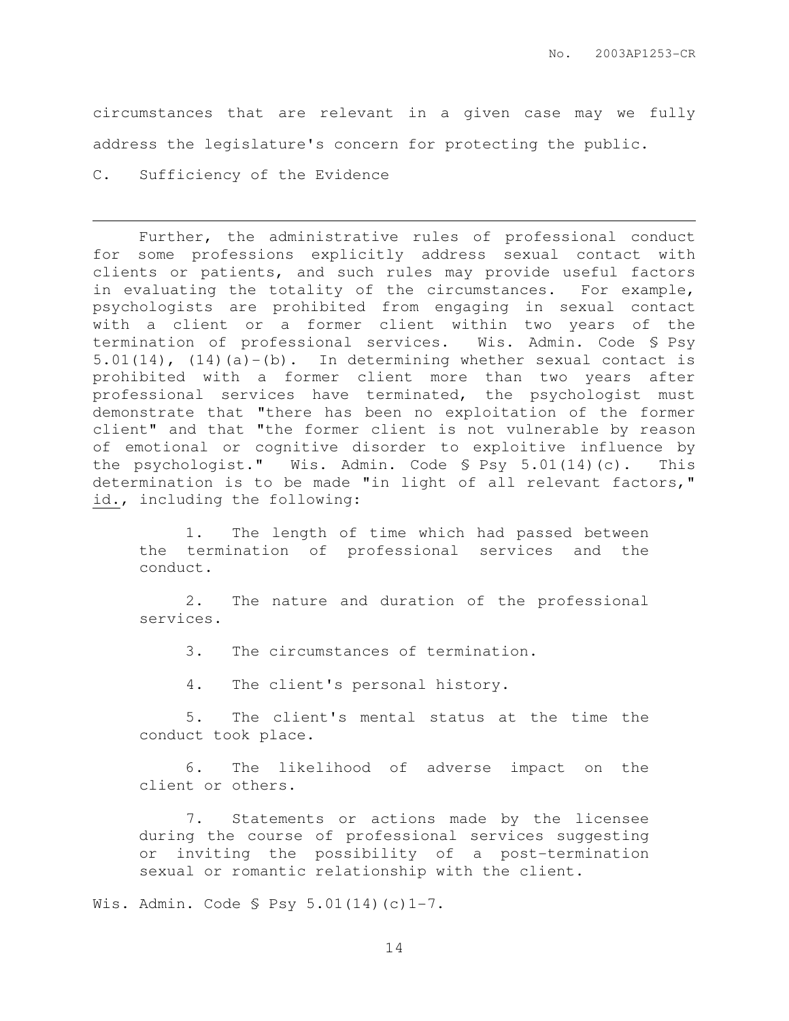circumstances that are relevant in a given case may we fully address the legislature's concern for protecting the public.

C. Sufficiency of the Evidence

l.

Further, the administrative rules of professional conduct for some professions explicitly address sexual contact with clients or patients, and such rules may provide useful factors in evaluating the totality of the circumstances. For example, psychologists are prohibited from engaging in sexual contact with a client or a former client within two years of the termination of professional services. Wis. Admin. Code § Psy  $5.01(14)$ ,  $(14)(a)-(b)$ . In determining whether sexual contact is prohibited with a former client more than two years after professional services have terminated, the psychologist must demonstrate that "there has been no exploitation of the former client" and that "the former client is not vulnerable by reason of emotional or cognitive disorder to exploitive influence by the psychologist." Wis. Admin. Code § Psy 5.01(14)(c). This determination is to be made "in light of all relevant factors," id., including the following:

1. The length of time which had passed between the termination of professional services and the conduct.

2. The nature and duration of the professional services.

3. The circumstances of termination.

4. The client's personal history.

5. The client's mental status at the time the conduct took place.

6. The likelihood of adverse impact on the client or others.

7. Statements or actions made by the licensee during the course of professional services suggesting or inviting the possibility of a post-termination sexual or romantic relationship with the client.

Wis. Admin. Code § Psy 5.01(14)(c)1-7.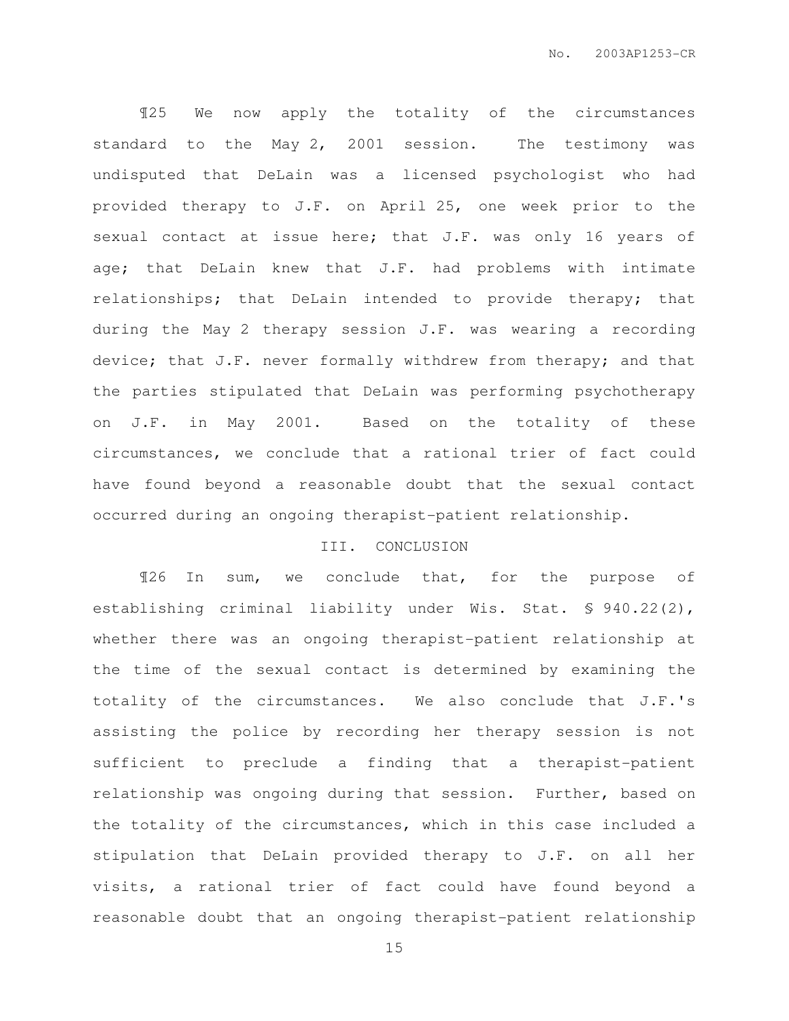¶25 We now apply the totality of the circumstances standard to the May 2, 2001 session. The testimony was undisputed that DeLain was a licensed psychologist who had provided therapy to J.F. on April 25, one week prior to the sexual contact at issue here; that J.F. was only 16 years of age; that DeLain knew that J.F. had problems with intimate relationships; that DeLain intended to provide therapy; that during the May 2 therapy session J.F. was wearing a recording device; that J.F. never formally withdrew from therapy; and that the parties stipulated that DeLain was performing psychotherapy on J.F. in May 2001. Based on the totality of these circumstances, we conclude that a rational trier of fact could have found beyond a reasonable doubt that the sexual contact occurred during an ongoing therapist-patient relationship.

## III. CONCLUSION

¶26 In sum, we conclude that, for the purpose of establishing criminal liability under Wis. Stat. § 940.22(2), whether there was an ongoing therapist-patient relationship at the time of the sexual contact is determined by examining the totality of the circumstances. We also conclude that J.F.'s assisting the police by recording her therapy session is not sufficient to preclude a finding that a therapist-patient relationship was ongoing during that session. Further, based on the totality of the circumstances, which in this case included a stipulation that DeLain provided therapy to J.F. on all her visits, a rational trier of fact could have found beyond a reasonable doubt that an ongoing therapist-patient relationship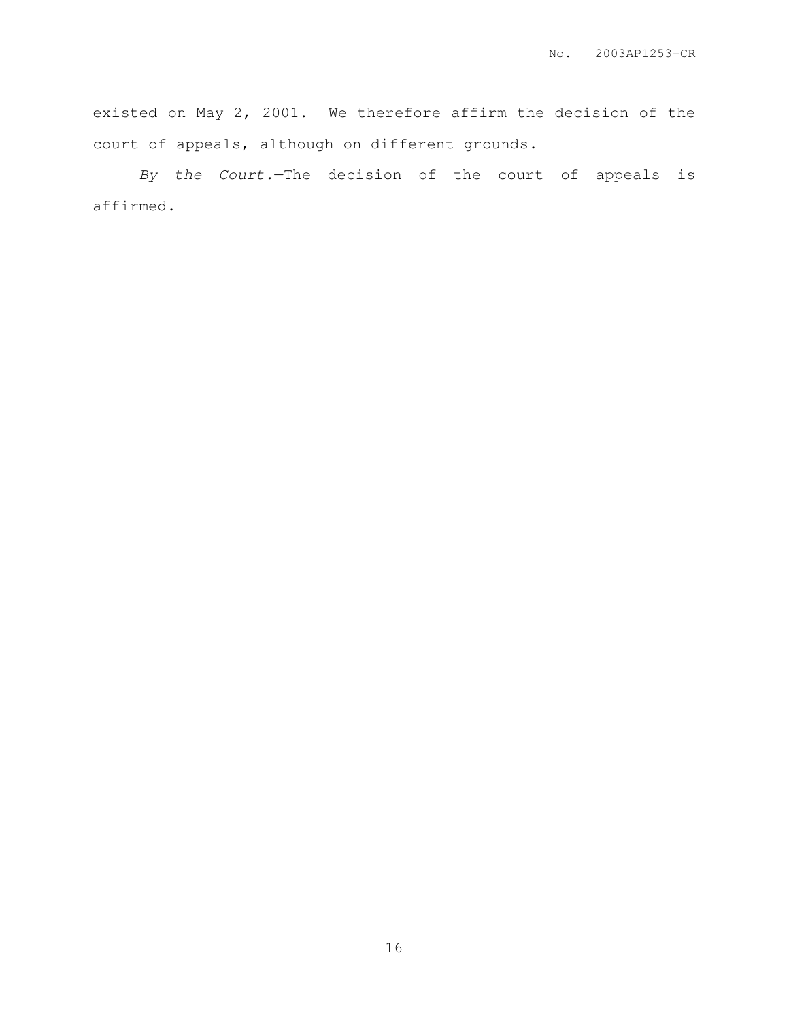existed on May 2, 2001. We therefore affirm the decision of the court of appeals, although on different grounds.

By the Court.—The decision of the court of appeals is affirmed.